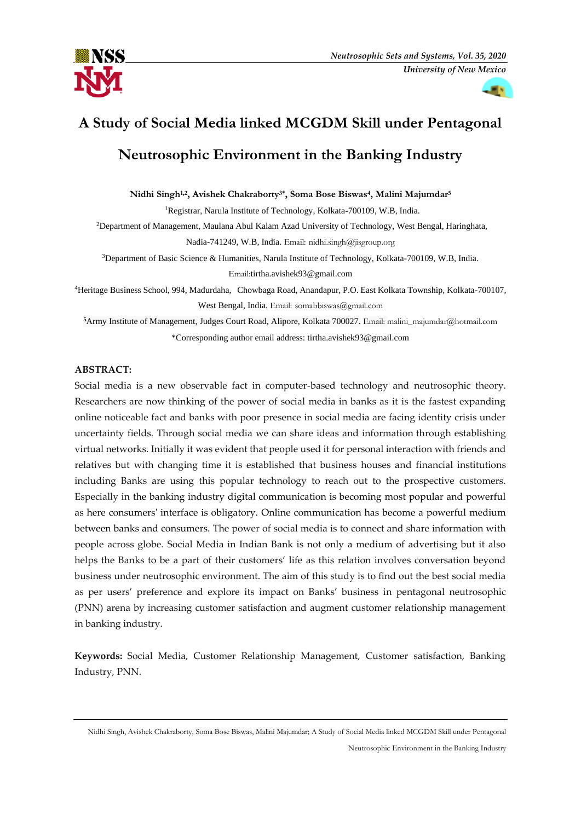



# **A Study of Social Media linked MCGDM Skill under Pentagonal Neutrosophic Environment in the Banking Industry**

**Nidhi Singh1,2, Avishek Chakraborty3\* , Soma Bose Biswas<sup>4</sup> , Malini Majumdar<sup>5</sup>**

<sup>1</sup>Registrar, Narula Institute of Technology, Kolkata-700109, W.B, India.

<sup>2</sup>Department of Management, Maulana Abul Kalam Azad University of Technology, West Bengal, Haringhata, Nadia-741249, W.B, India. Email: nidhi.singh@jisgroup.org

<sup>3</sup>Department of Basic Science & Humanities, Narula Institute of Technology, Kolkata-700109, W.B, India. Email:tirtha.avishek93@gmail.com

<sup>4</sup>Heritage Business School, 994, Madurdaha, Chowbaga Road, Anandapur, P.O. East Kolkata Township, Kolkata-700107, West Bengal, India. Email: somabbiswas@gmail.com

**<sup>5</sup>**Army Institute of Management, Judges Court Road, Alipore, Kolkata 700027. Email: [malini\\_majumdar@hotmail.com](mailto:malini_majumdar@hotmail.com) \*Corresponding author email address: tirtha.avishek93@gmail.com

# **ABSTRACT:**

Social media is a new observable fact in computer-based technology and neutrosophic theory. Researchers are now thinking of the power of social media in banks as it is the fastest expanding online noticeable fact and banks with poor presence in social media are facing identity crisis under uncertainty fields. Through social media we can share ideas and information through establishing virtual networks. Initially it was evident that people used it for personal interaction with friends and relatives but with changing time it is established that business houses and financial institutions including Banks are using this popular technology to reach out to the prospective customers. Especially in the banking industry digital communication is becoming most popular and powerful as here consumers' interface is obligatory. Online communication has become a powerful medium between banks and consumers. The power of social media is to connect and share information with people across globe. Social Media in Indian Bank is not only a medium of advertising but it also helps the Banks to be a part of their customers' life as this relation involves conversation beyond business under neutrosophic environment. The aim of this study is to find out the best social media as per users' preference and explore its impact on Banks' business in pentagonal neutrosophic (PNN) arena by increasing customer satisfaction and augment customer relationship management in banking industry.

**Keywords:** Social Media, Customer Relationship Management, Customer satisfaction, Banking Industry, PNN.

Nidhi Singh, Avishek Chakraborty, Soma Bose Biswas, Malini Majumdar; A Study of Social Media linked MCGDM Skill under Pentagonal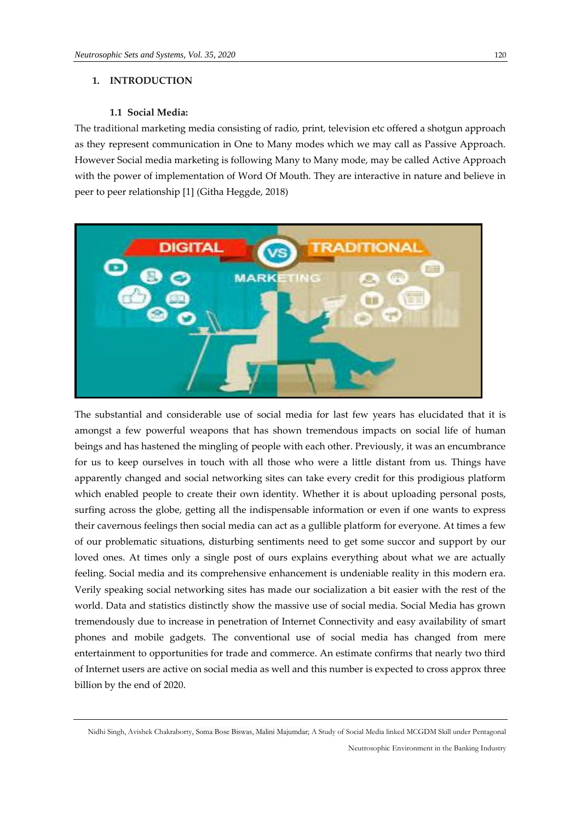# **1. INTRODUCTION**

#### **1.1 Social Media:**

The traditional marketing media consisting of radio, print, television etc offered a shotgun approach as they represent communication in One to Many modes which we may call as Passive Approach. However Social media marketing is following Many to Many mode, may be called Active Approach with the power of implementation of Word Of Mouth. They are interactive in nature and believe in peer to peer relationship [1] (Githa Heggde, 2018)



The substantial and considerable use of social media for last few years has elucidated that it is amongst a few powerful weapons that has shown tremendous impacts on social life of human beings and has hastened the mingling of people with each other. Previously, it was an encumbrance for us to keep ourselves in touch with all those who were a little distant from us. Things have apparently changed and social networking sites can take every credit for this prodigious platform which enabled people to create their own identity. Whether it is about uploading personal posts, surfing across the globe, getting all the indispensable information or even if one wants to express their cavernous feelings then social media can act as a gullible platform for everyone. At times a few of our problematic situations, disturbing sentiments need to get some succor and support by our loved ones. At times only a single post of ours explains everything about what we are actually feeling. Social media and its comprehensive enhancement is undeniable reality in this modern era. Verily speaking social networking sites has made our socialization a bit easier with the rest of the world. Data and statistics distinctly show the massive use of social media. Social Media has grown tremendously due to increase in penetration of Internet Connectivity and easy availability of smart phones and mobile gadgets. The conventional use of social media has changed from mere entertainment to opportunities for trade and commerce. An estimate confirms that nearly two third of Internet users are active on social media as well and this number is expected to cross approx three billion by the end of 2020.

Nidhi Singh, Avishek Chakraborty, Soma Bose Biswas, Malini Majumdar; A Study of Social Media linked MCGDM Skill under Pentagonal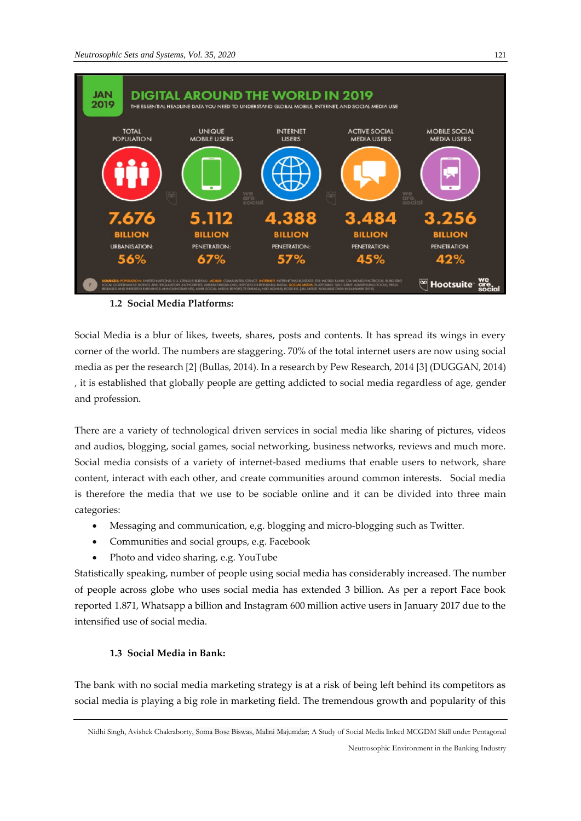

# **1.2 Social Media Platforms:**

Social Media is a blur of likes, tweets, shares, posts and contents. It has spread its wings in every corner of the world. The numbers are staggering. 70% of the total internet users are now using social media as per the research [2] (Bullas, 2014). In a research by Pew Research, 2014 [3] (DUGGAN, 2014) , it is established that globally people are getting addicted to social media regardless of age, gender and profession.

There are a variety of technological driven services in social media like sharing of pictures, videos and audios, blogging, social games, social networking, business networks, reviews and much more. Social media consists of a variety of internet-based mediums that enable users to network, share content, interact with each other, and create communities around common interests. Social media is therefore the media that we use to be sociable online and it can be divided into three main categories:

- Messaging and communication, e,g. blogging and micro-blogging such as Twitter.
- Communities and social groups, e.g. Facebook
- Photo and video sharing, e.g. YouTube

Statistically speaking, number of people using social media has considerably increased. The number of people across globe who uses social media has extended 3 billion. As per a report Face book reported 1.871, Whatsapp a billion and Instagram 600 million active users in January 2017 due to the intensified use of social media.

# **1.3 Social Media in Bank:**

The bank with no social media marketing strategy is at a risk of being left behind its competitors as social media is playing a big role in marketing field. The tremendous growth and popularity of this

Nidhi Singh, Avishek Chakraborty, Soma Bose Biswas, Malini Majumdar; A Study of Social Media linked MCGDM Skill under Pentagonal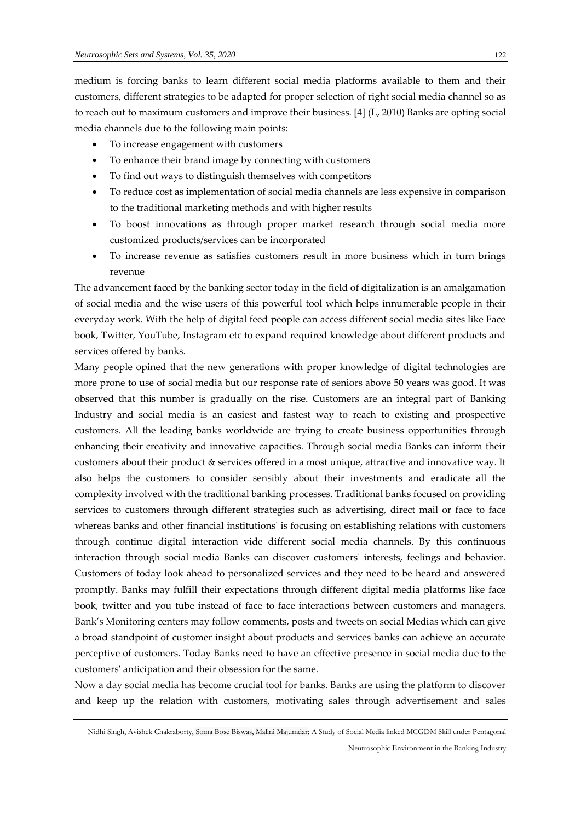medium is forcing banks to learn different social media platforms available to them and their customers, different strategies to be adapted for proper selection of right social media channel so as to reach out to maximum customers and improve their business. [4] (L, 2010) Banks are opting social media channels due to the following main points:

- To increase engagement with customers
- To enhance their brand image by connecting with customers
- To find out ways to distinguish themselves with competitors
- To reduce cost as implementation of social media channels are less expensive in comparison to the traditional marketing methods and with higher results
- To boost innovations as through proper market research through social media more customized products/services can be incorporated
- To increase revenue as satisfies customers result in more business which in turn brings revenue

The advancement faced by the banking sector today in the field of digitalization is an amalgamation of social media and the wise users of this powerful tool which helps innumerable people in their everyday work. With the help of digital feed people can access different social media sites like Face book, Twitter, YouTube, Instagram etc to expand required knowledge about different products and services offered by banks.

Many people opined that the new generations with proper knowledge of digital technologies are more prone to use of social media but our response rate of seniors above 50 years was good. It was observed that this number is gradually on the rise. Customers are an integral part of Banking Industry and social media is an easiest and fastest way to reach to existing and prospective customers. All the leading banks worldwide are trying to create business opportunities through enhancing their creativity and innovative capacities. Through social media Banks can inform their customers about their product & services offered in a most unique, attractive and innovative way. It also helps the customers to consider sensibly about their investments and eradicate all the complexity involved with the traditional banking processes. Traditional banks focused on providing services to customers through different strategies such as advertising, direct mail or face to face whereas banks and other financial institutions' is focusing on establishing relations with customers through continue digital interaction vide different social media channels. By this continuous interaction through social media Banks can discover customers' interests, feelings and behavior. Customers of today look ahead to personalized services and they need to be heard and answered promptly. Banks may fulfill their expectations through different digital media platforms like face book, twitter and you tube instead of face to face interactions between customers and managers. Bank's Monitoring centers may follow comments, posts and tweets on social Medias which can give a broad standpoint of customer insight about products and services banks can achieve an accurate perceptive of customers. Today Banks need to have an effective presence in social media due to the customers' anticipation and their obsession for the same.

Now a day social media has become crucial tool for banks. Banks are using the platform to discover and keep up the relation with customers, motivating sales through advertisement and sales

Nidhi Singh, Avishek Chakraborty, Soma Bose Biswas, Malini Majumdar; A Study of Social Media linked MCGDM Skill under Pentagonal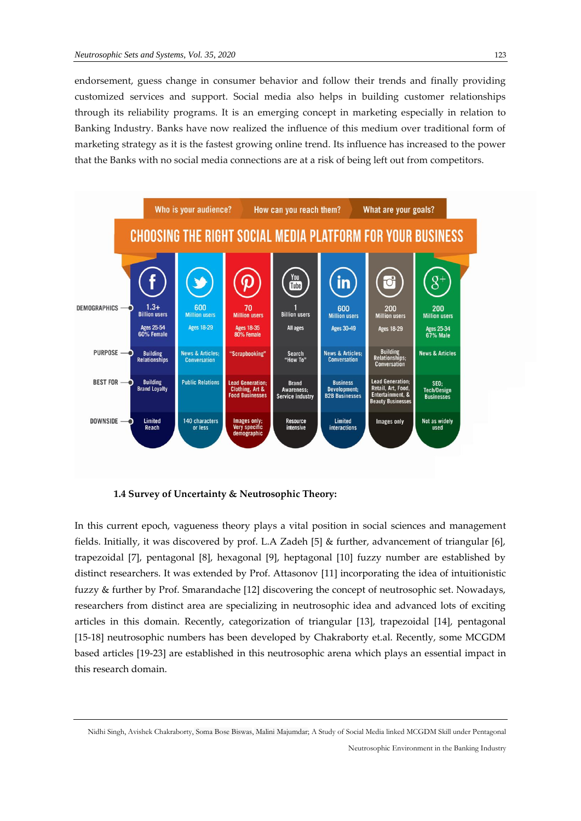endorsement, guess change in consumer behavior and follow their trends and finally providing customized services and support. Social media also helps in building customer relationships through its reliability programs. It is an emerging concept in marketing especially in relation to Banking Industry. Banks have now realized the influence of this medium over traditional form of marketing strategy as it is the fastest growing online trend. Its influence has increased to the power that the Banks with no social media connections are at a risk of being left out from competitors.



**1.4 Survey of Uncertainty & Neutrosophic Theory:**

In this current epoch, vagueness theory plays a vital position in social sciences and management fields. Initially, it was discovered by prof. L.A Zadeh [5] & further, advancement of triangular [6], trapezoidal [7], pentagonal [8], hexagonal [9], heptagonal [10] fuzzy number are established by distinct researchers. It was extended by Prof. Attasonov [11] incorporating the idea of intuitionistic fuzzy & further by Prof. Smarandache [12] discovering the concept of neutrosophic set. Nowadays, researchers from distinct area are specializing in neutrosophic idea and advanced lots of exciting articles in this domain. Recently, categorization of triangular [13], trapezoidal [14], pentagonal [15-18] neutrosophic numbers has been developed by Chakraborty et.al. Recently, some MCGDM based articles [19-23] are established in this neutrosophic arena which plays an essential impact in this research domain.

Nidhi Singh, Avishek Chakraborty, Soma Bose Biswas, Malini Majumdar; A Study of Social Media linked MCGDM Skill under Pentagonal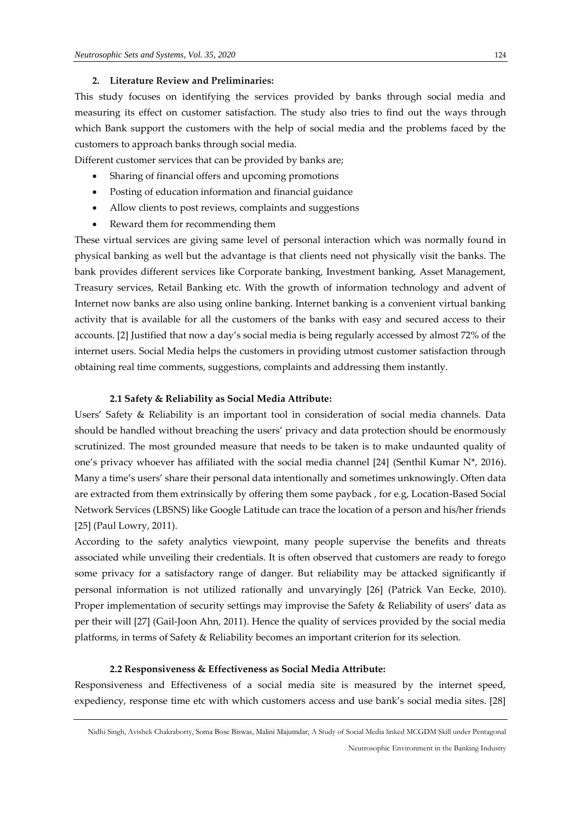#### **2. Literature Review and Preliminaries:**

This study focuses on identifying the services provided by banks through social media and measuring its effect on customer satisfaction. The study also tries to find out the ways through which Bank support the customers with the help of social media and the problems faced by the customers to approach banks through social media.

Different customer services that can be provided by banks are;

- Sharing of financial offers and upcoming promotions
- Posting of education information and financial guidance
- Allow clients to post reviews, complaints and suggestions
- Reward them for recommending them

These virtual services are giving same level of personal interaction which was normally found in physical banking as well but the advantage is that clients need not physically visit the banks. The bank provides different services like Corporate banking, Investment banking, Asset Management, Treasury services, Retail Banking etc. With the growth of information technology and advent of Internet now banks are also using online banking. Internet banking is a convenient virtual banking activity that is available for all the customers of the banks with easy and secured access to their accounts. [2] Justified that now a day's social media is being regularly accessed by almost 72% of the internet users. Social Media helps the customers in providing utmost customer satisfaction through obtaining real time comments, suggestions, complaints and addressing them instantly.

#### **2.1 Safety & Reliability as Social Media Attribute:**

Users' Safety & Reliability is an important tool in consideration of social media channels. Data should be handled without breaching the users' privacy and data protection should be enormously scrutinized. The most grounded measure that needs to be taken is to make undaunted quality of one's privacy whoever has affiliated with the social media channel [24] (Senthil Kumar N\*, 2016). Many a time's users' share their personal data intentionally and sometimes unknowingly. Often data are extracted from them extrinsically by offering them some payback , for e.g, Location-Based Social Network Services (LBSNS) like Google Latitude can trace the location of a person and his/her friends [25] (Paul Lowry, 2011).

According to the safety analytics viewpoint, many people supervise the benefits and threats associated while unveiling their credentials. It is often observed that customers are ready to forego some privacy for a satisfactory range of danger. But reliability may be attacked significantly if personal information is not utilized rationally and unvaryingly [26] (Patrick Van Eecke, 2010). Proper implementation of security settings may improvise the Safety & Reliability of users' data as per their will [27] (Gail-Joon Ahn, 2011). Hence the quality of services provided by the social media platforms, in terms of Safety & Reliability becomes an important criterion for its selection.

#### **2.2 Responsiveness & Effectiveness as Social Media Attribute:**

Responsiveness and Effectiveness of a social media site is measured by the internet speed, expediency, response time etc with which customers access and use bank's social media sites. [28]

Nidhi Singh, Avishek Chakraborty, Soma Bose Biswas, Malini Majumdar; A Study of Social Media linked MCGDM Skill under Pentagonal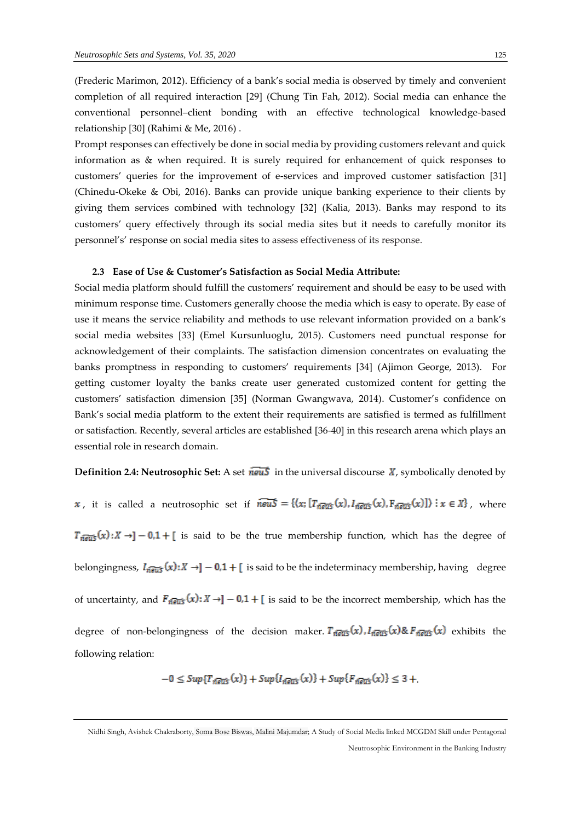(Frederic Marimon, 2012). Efficiency of a bank's social media is observed by timely and convenient completion of all required interaction [29] (Chung Tin Fah, 2012). Social media can enhance the conventional personnel–client bonding with an effective technological knowledge-based relationship [30] (Rahimi & Me, 2016) .

Prompt responses can effectively be done in social media by providing customers relevant and quick information as & when required. It is surely required for enhancement of quick responses to customers' queries for the improvement of e-services and improved customer satisfaction [31] (Chinedu-Okeke & Obi, 2016). Banks can provide unique banking experience to their clients by giving them services combined with technology [32] (Kalia, 2013). Banks may respond to its customers' query effectively through its social media sites but it needs to carefully monitor its personnel's' response on social media sites to assess effectiveness of its response.

#### **2.3 Ease of Use & Customer's Satisfaction as Social Media Attribute:**

Social media platform should fulfill the customers' requirement and should be easy to be used with minimum response time. Customers generally choose the media which is easy to operate. By ease of use it means the service reliability and methods to use relevant information provided on a bank's social media websites [33] (Emel Kursunluoglu, 2015). Customers need punctual response for acknowledgement of their complaints. The satisfaction dimension concentrates on evaluating the banks promptness in responding to customers' requirements [34] (Ajimon George, 2013). For getting customer loyalty the banks create user generated customized content for getting the customers' satisfaction dimension [35] (Norman Gwangwava, 2014). Customer's confidence on Bank's social media platform to the extent their requirements are satisfied is termed as fulfillment or satisfaction. Recently, several articles are established [36-40] in this research arena which plays an essential role in research domain.

# **Definition 2.4: Neutrosophic Set:** A set  $\overrightarrow{news}$  in the universal discourse  $\overrightarrow{X}$ , symbolically denoted by

x, it is called a neutrosophic set if  $\widehat{newS} = \{(x; [T_{n\text{eris}}(x), I_{n\text{eris}}(x), F_{n\text{eris}}(x)]\}) \mid x \in X\}$ , where  $T_{\hat{n}\overline{\hat{e}w}}(x):X\to ]-0.1+$  is said to be the true membership function, which has the degree of belongingness,  $I_{\overline{\text{new}}} (x): X \rightarrow ]-0.1 + [$  is said to be the indeterminacy membership, having degree of uncertainty, and  $F_{\eta \overline{\text{eus}}}(x): X \to ]-0.1 + [$  is said to be the incorrect membership, which has the degree of non-belongingness of the decision maker.  $T_{n\overline{eu5}}(x)$ ,  $I_{n\overline{eu5}}(x)$ &  $F_{n\overline{eu5}}(x)$  exhibits the following relation:

$$
-0 \leq Sup\{T_{\widehat{n}\widehat{eus}}(x)\} + Sup\{I_{\widehat{n}\widehat{eus}}(x)\} + Sup\{F_{\widehat{n}\widehat{eus}}(x)\} \leq 3 +
$$

Nidhi Singh, Avishek Chakraborty, Soma Bose Biswas, Malini Majumdar; A Study of Social Media linked MCGDM Skill under Pentagonal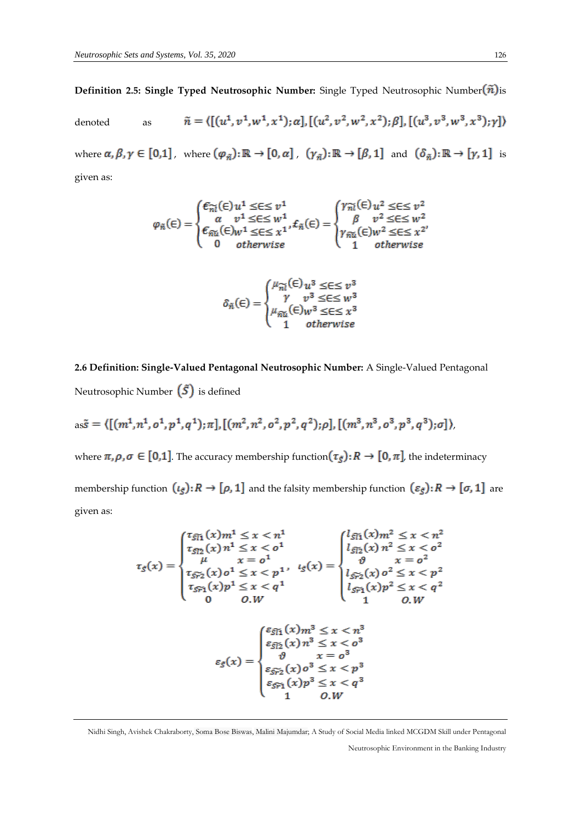**Definition 2.5: Single Typed Neutrosophic Number:** Single Typed Neutrosophic Number $(\tilde{n})$ is

denoted as 
$$
\tilde{n} = \langle [(u^1, v^1, w^1, x^1); \alpha], [(u^2, v^2, w^2, x^2); \beta], [(u^3, v^3, w^3, x^3); \gamma] \rangle
$$
  
where  $\alpha, \beta, \gamma \in [0,1]$ , where  $(\varphi_{\tilde{n}}): \mathbb{R} \to [0, \alpha]$ ,  $(\gamma_{\tilde{n}}): \mathbb{R} \to [\beta, 1]$  and  $(\delta_{\tilde{n}}): \mathbb{R} \to [\gamma, 1]$  is

given as:

$$
\varphi_{\tilde{n}}(\in) = \begin{cases} \epsilon_{\tilde{n}l}(\in) u^1 \leq \in \leq v^1 \\ \alpha & v^1 \leq \in \leq w^1 \\ \epsilon_{\tilde{n}u}(\in) w^1 \leq \in \leq x^1 \\ 0 & otherwise \end{cases}, \epsilon_{\tilde{n}l}(\in) = \begin{cases} \gamma_{\tilde{n}l}(\in) u^2 \leq \in \leq v^2 \\ \beta & v^2 \leq \in \leq w^2 \\ \gamma_{\tilde{n}u}(\in) w^2 \leq \in \leq x^2 \\ 1 & otherwise \end{cases}
$$

$$
\delta_{\tilde{n}}(\epsilon) = \begin{cases} \mu_{\tilde{n}i}(\epsilon) u^3 \leq \epsilon \leq v^3 \\ \gamma v^3 \leq \epsilon \leq w^3 \\ \mu_{\tilde{n}i}(\epsilon) w^3 \leq \epsilon \leq x^3 \\ 1 & otherwise \end{cases}
$$

**2.6 Definition: Single-Valued Pentagonal Neutrosophic Number:** A Single-Valued Pentagonal Neutrosophic Number  $(\tilde{S})$  is defined

as
$$
\tilde{s} = \langle [(m^1, n^1, o^1, p^1, q^1); \pi], [(m^2, n^2, o^2, p^2, q^2); \rho], [(m^3, n^3, o^3, p^3, q^3); \sigma] \rangle
$$

where  $\pi, \rho, \sigma \in [0,1]$ . The accuracy membership function  $(\tau_{\tilde{S}}): R \to [0, \pi]$ , the indeterminacy membership function  $(\iota_{\check{S}}): R \to [\rho, 1]$  and the falsity membership function  $(\varepsilon_{\check{S}}): R \to [\sigma, 1]$  are given as:

Nidhi Singh, Avishek Chakraborty, Soma Bose Biswas, Malini Majumdar; A Study of Social Media linked MCGDM Skill under Pentagonal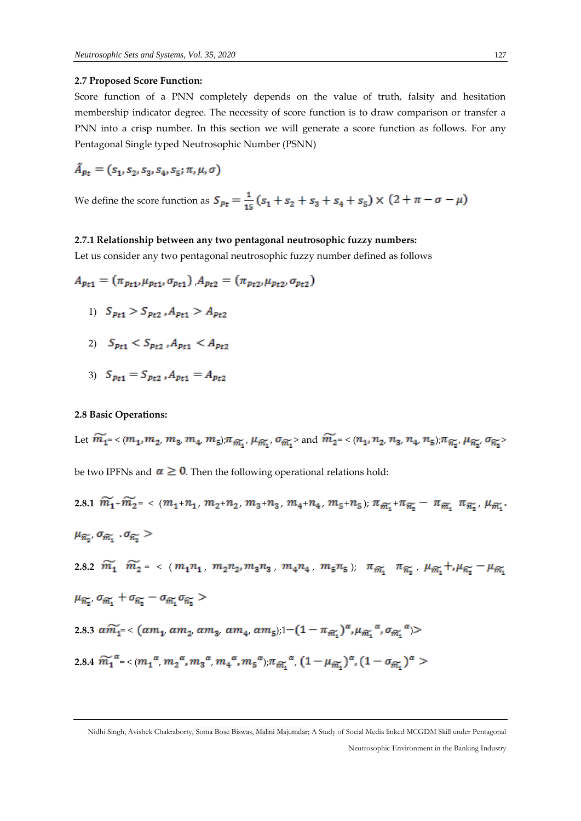#### **2.7 Proposed Score Function:**

Score function of a PNN completely depends on the value of truth, falsity and hesitation membership indicator degree. The necessity of score function is to draw comparison or transfer a PNN into a crisp number. In this section we will generate a score function as follows. For any Pentagonal Single typed Neutrosophic Number (PSNN)

$$
\tilde{A}_{Pt} = (s_1, s_2, s_3, s_4, s_5; \pi, \mu, \sigma)
$$

We define the score function as  $S_{pt} = \frac{1}{15} (s_1 + s_2 + s_3 + s_4 + s_5) \times (2 + \pi - \sigma - \mu)$ 

#### **2.7.1 Relationship between any two pentagonal neutrosophic fuzzy numbers:**

Let us consider any two pentagonal neutrosophic fuzzy number defined as follows

$$
A_{Pt1} = (\pi_{Pt1}, \mu_{Pt1}, \sigma_{Pt1}), A_{Pt2} = (\pi_{Pt2}, \mu_{Pt2}, \sigma_{Pt2})
$$

1) 
$$
S_{pt1} > S_{pt2}
$$
,  $A_{pt1} > A_{pt2}$ 

- 2)  $S_{p_{t1}} < S_{p_{t2}}$ ,  $A_{p_{t1}} < A_{p_{t2}}$
- 3)  $S_{pt1} = S_{pt2}$ ,  $A_{pt1} = A_{pt2}$

# **2.8 Basic Operations:**

Let 
$$
\widetilde{m_1} = \langle (m_1, m_2, m_3, m_4, m_5); \pi_{\widetilde{m_1}}, \mu_{\widetilde{m_1}}, \sigma_{\widetilde{m_1}} \rangle
$$
 and  $\widetilde{m_2} = \langle (n_1, n_2, n_3, n_4, n_5); \pi_{\widetilde{n_2}}, \mu_{\widetilde{n_2}}, \sigma_{\widetilde{n_2}} \rangle$   
be two IPFNs and  $\alpha \ge 0$ . Then the following operational relations hold:

2.8.1 
$$
\widetilde{m_1} + \widetilde{m_2} = \langle (m_1 + n_1, m_2 + n_2, m_3 + n_3, m_4 + n_4, m_5 + n_5); \pi_{\widetilde{m_1}} + \pi_{\widetilde{n_2}} - \pi_{\widetilde{m_1}} \pi_{\widetilde{n_2}}, \mu_{\widetilde{m_1}} \rangle
$$
  
\n $\mu_{\widetilde{n_2}}, \sigma_{\widetilde{m_1}} \cdot \sigma_{\widetilde{n_2}} >$   
\n2.8.2  $\widetilde{m_1} \quad \widetilde{m_2} = \langle (m_1 n_1, m_2 n_2, m_3 n_3, m_4 n_4, m_5 n_5); \pi_{\widetilde{m_1}} \pi_{\widetilde{n_2}}, \mu_{\widetilde{m_1}} + \mu_{\widetilde{n_2}} - \mu_{\widetilde{m_1}}$   
\n $\mu_{\widetilde{n_2}}, \sigma_{\widetilde{m_1}} + \sigma_{\widetilde{n_2}} - \sigma_{\widetilde{m_1}} \sigma_{\widetilde{n_2}} >$   
\n2.8.3  $\alpha \widetilde{m_1} = \langle (\alpha m_1, \alpha m_2, \alpha m_3, \alpha m_4, \alpha m_5); 1 - (1 - \pi_{\widetilde{m_1}})^{\alpha}, \mu_{\widetilde{m_1}} \alpha, \sigma_{\widetilde{m_1}} \alpha \rangle >$   
\n2.8.4  $\widetilde{m_1}^{\alpha} = \langle (m_1^{\alpha}, m_2^{\alpha}, m_3^{\alpha}, m_4^{\alpha}, m_5^{\alpha}), \pi_{\widetilde{m_1}} \alpha, (1 - \mu_{\widetilde{m_1}})^{\alpha}, (1 - \sigma_{\widetilde{m_1}})^{\alpha} \rangle$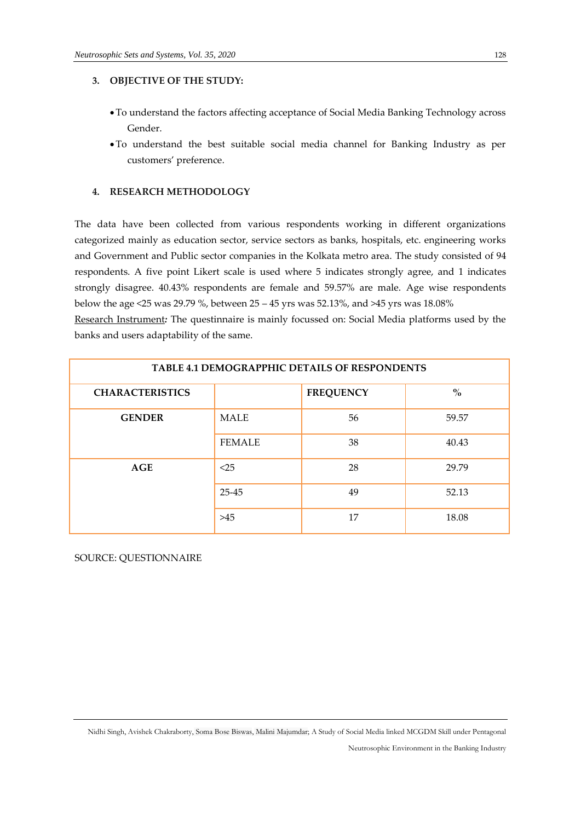# **3. OBJECTIVE OF THE STUDY:**

- •To understand the factors affecting acceptance of Social Media Banking Technology across Gender.
- •To understand the best suitable social media channel for Banking Industry as per customers' preference.

# **4. RESEARCH METHODOLOGY**

The data have been collected from various respondents working in different organizations categorized mainly as education sector, service sectors as banks, hospitals, etc. engineering works and Government and Public sector companies in the Kolkata metro area. The study consisted of 94 respondents. A five point Likert scale is used where 5 indicates strongly agree, and 1 indicates strongly disagree. 40.43% respondents are female and 59.57% are male. Age wise respondents below the age <25 was 29.79 %, between 25 – 45 yrs was 52.13%, and >45 yrs was 18.08%

Research Instrument*:* The questinnaire is mainly focussed on: Social Media platforms used by the banks and users adaptability of the same.

| <b>TABLE 4.1 DEMOGRAPPHIC DETAILS OF RESPONDENTS</b> |               |                  |       |  |  |
|------------------------------------------------------|---------------|------------------|-------|--|--|
| <b>CHARACTERISTICS</b>                               |               | <b>FREQUENCY</b> | $\%$  |  |  |
| <b>GENDER</b>                                        | <b>MALE</b>   | 56               | 59.57 |  |  |
|                                                      | <b>FEMALE</b> | 38               | 40.43 |  |  |
| <b>AGE</b>                                           | $<$ 25        | 28               | 29.79 |  |  |
|                                                      | 25-45         | 49               | 52.13 |  |  |
|                                                      | >45           | 17               | 18.08 |  |  |

SOURCE: QUESTIONNAIRE

Nidhi Singh, Avishek Chakraborty, Soma Bose Biswas, Malini Majumdar; A Study of Social Media linked MCGDM Skill under Pentagonal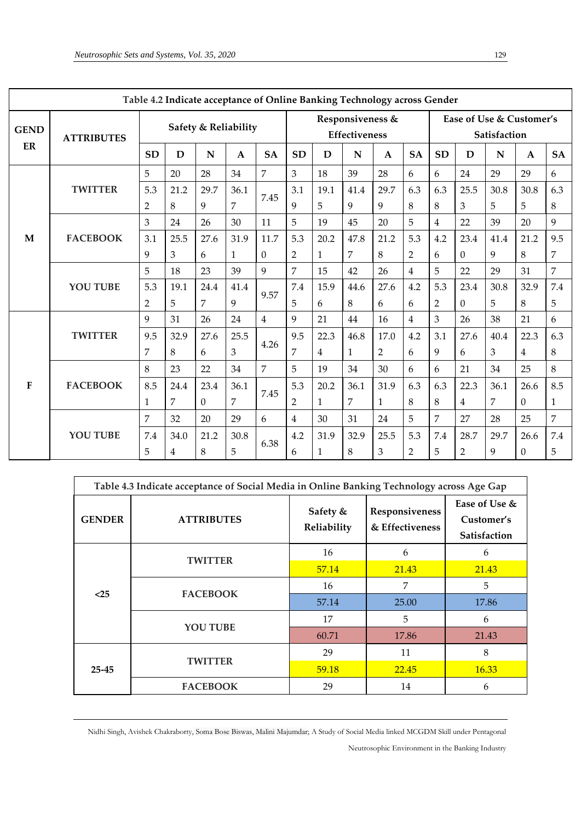| Table 4.2 Indicate acceptance of Online Banking Technology across Gender |                   |                      |             |             |                                   |                |                |                                          |              |                |                |                |                |             |                |                |
|--------------------------------------------------------------------------|-------------------|----------------------|-------------|-------------|-----------------------------------|----------------|----------------|------------------------------------------|--------------|----------------|----------------|----------------|----------------|-------------|----------------|----------------|
| <b>GEND</b>                                                              | <b>ATTRIBUTES</b> | Safety & Reliability |             |             | Responsiveness &<br>Effectiveness |                |                | Ease of Use & Customer's<br>Satisfaction |              |                |                |                |                |             |                |                |
| ER                                                                       |                   | <b>SD</b>            | $\mathbf D$ | $\mathbf N$ | $\mathbf{A}$                      | <b>SA</b>      | <b>SD</b>      | D                                        | N            | $\mathbf{A}$   | <b>SA</b>      | <b>SD</b>      | D              | $\mathbf N$ | $\mathbf{A}$   | <b>SA</b>      |
|                                                                          |                   | 5                    | 20          | 28          | 34                                | $\overline{7}$ | 3              | 18                                       | 39           | 28             | 6              | 6              | 24             | 29          | 29             | 6              |
|                                                                          | <b>TWITTER</b>    | 5.3                  | 21.2        | 29.7        | 36.1                              | 7.45           | 3.1            | 19.1                                     | 41.4         | 29.7           | 6.3            | 6.3            | 25.5           | 30.8        | 30.8           | 6.3            |
|                                                                          |                   | $\overline{2}$       | 8           | 9           | 7                                 |                | 9              | 5                                        | 9            | 9              | 8              | 8              | 3              | 5           | 5              | 8              |
|                                                                          |                   | 3                    | 24          | 26          | 30                                | 11             | 5              | 19                                       | 45           | 20             | 5              | $\overline{4}$ | 22             | 39          | 20             | 9              |
| M                                                                        | <b>FACEBOOK</b>   | 3.1                  | 25.5        | 27.6        | 31.9                              | 11.7           | 5.3            | 20.2                                     | 47.8         | 21.2           | 5.3            | 4.2            | 23.4           | 41.4        | 21.2           | 9.5            |
|                                                                          |                   | 9                    | 3           | 6           | 1                                 | $\Omega$       | $\overline{2}$ | 1                                        | 7            | 8              | $\overline{2}$ | 6              | $\Omega$       | 9           | 8              | 7              |
|                                                                          | <b>YOU TUBE</b>   | 5                    | 18          | 23          | 39                                | 9              | $\overline{7}$ | 15                                       | 42           | 26             | $\overline{4}$ | 5              | 22             | 29          | 31             | $\overline{7}$ |
|                                                                          |                   | 5.3                  | 19.1        | 24.4        | 41.4                              | 9.57           | 7.4            | 15.9                                     | 44.6         | 27.6           | 4.2            | 5.3            | 23.4           | 30.8        | 32.9           | 7.4            |
|                                                                          |                   | $\overline{2}$       | 5           | 7           | 9                                 |                | 5              | 6                                        | 8            | 6              | 6              | 2              | $\Omega$       | 5           | 8              | 5              |
|                                                                          | <b>TWITTER</b>    | 9                    | 31          | 26          | 24                                | $\overline{4}$ | 9              | 21                                       | 44           | 16             | $\overline{4}$ | 3              | 26             | 38          | 21             | 6              |
|                                                                          |                   | 9.5                  | 32.9        | 27.6        | 25.5                              |                | 9.5            | 22.3                                     | 46.8         | 17.0           | 4.2            | 3.1            | 27.6           | 40.4        | 22.3           | 6.3            |
|                                                                          |                   | 7                    | 8           | 6           | 3                                 | 4.26           | 7              | $\overline{4}$                           | $\mathbf{1}$ | $\overline{2}$ | 6              | 9              | 6              | 3           | $\overline{4}$ | 8              |
|                                                                          |                   | 8                    | 23          | 22          | 34                                | $\overline{7}$ | 5              | 19                                       | 34           | 30             | 6              | 6              | 21             | 34          | 25             | 8              |
| ${\bf F}$                                                                | <b>FACEBOOK</b>   | 8.5                  | 24.4        | 23.4        | 36.1                              |                | 5.3            | 20.2                                     | 36.1         | 31.9           | 6.3            | 6.3            | 22.3           | 36.1        | 26.6           | 8.5            |
|                                                                          |                   | $\mathbf{1}$         | 7           | $\Omega$    | $\overline{7}$                    | 7.45           | $\overline{2}$ | $\mathbf{1}$                             | 7            | $\mathbf{1}$   | 8              | 8              | $\overline{4}$ | 7           | $\Omega$       | $\mathbf{1}$   |
|                                                                          |                   | 7                    | 32          | 20          | 29                                | 6              | $\overline{4}$ | 30                                       | 31           | 24             | 5              | 7              | 27             | 28          | 25             | 7              |
|                                                                          | <b>YOU TUBE</b>   | 7.4                  | 34.0        | 21.2        | 30.8                              |                | 4.2            | 31.9                                     | 32.9         | 25.5           | 5.3            | 7.4            | 28.7           | 29.7        | 26.6           | 7.4            |
|                                                                          |                   | 5                    | 4           | 8           | 5                                 | 6.38           | 6              | 1                                        | 8            | 3              | $\overline{2}$ | 5              | $\overline{2}$ | 9           | $\Omega$       | 5              |

| Table 4.3 Indicate acceptance of Social Media in Online Banking Technology across Age Gap |                                    |                         |                                   |                                             |  |
|-------------------------------------------------------------------------------------------|------------------------------------|-------------------------|-----------------------------------|---------------------------------------------|--|
| <b>GENDER</b>                                                                             | <b>ATTRIBUTES</b>                  | Safety &<br>Reliability | Responsiveness<br>& Effectiveness | Ease of Use &<br>Customer's<br>Satisfaction |  |
|                                                                                           | <b>TWITTER</b>                     | 16                      | 6                                 | 6                                           |  |
| $25$                                                                                      |                                    | 57.14                   | 21.43                             | 21.43                                       |  |
|                                                                                           | <b>FACEBOOK</b><br><b>YOU TUBE</b> | 16                      | 7                                 | 5                                           |  |
|                                                                                           |                                    | 57.14                   | 25.00                             | 17.86                                       |  |
|                                                                                           |                                    | 17                      | 5                                 | 6                                           |  |
|                                                                                           |                                    | 60.71                   | 17.86                             | 21.43                                       |  |
| 25-45                                                                                     |                                    | 29                      | 11                                | 8                                           |  |
|                                                                                           | <b>TWITTER</b>                     | 59.18                   | 22.45                             | 16.33                                       |  |
|                                                                                           | <b>FACEBOOK</b>                    | 29                      | 14                                | 6                                           |  |

Nidhi Singh, Avishek Chakraborty, Soma Bose Biswas, Malini Majumdar; A Study of Social Media linked MCGDM Skill under Pentagonal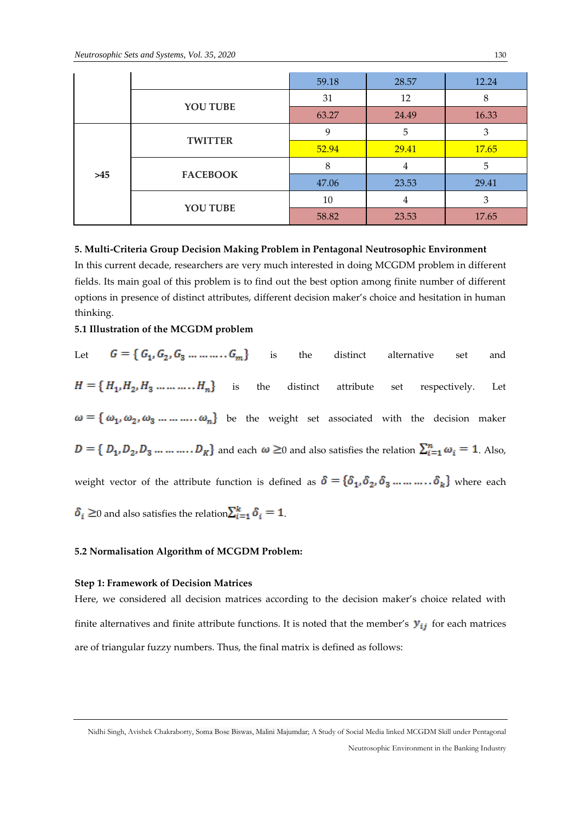|  |                          | 59.18 | 28.57 | 12.24        |
|--|--------------------------|-------|-------|--------------|
|  |                          | 31    | 12    | 8            |
|  | YOU TUBE                 |       | 24.49 | 16.33        |
|  |                          | 9     | 5     | З            |
|  | <b>TWITTER</b>           | 52.94 | 29.41 | <b>17.65</b> |
|  | <b>FACEBOOK</b><br>$>45$ | 8     | 4     | 5            |
|  |                          | 47.06 | 23.53 | 29.41        |
|  |                          | 10    | 4     | 3            |
|  | YOU TUBE                 | 58.82 | 23.53 | 17.65        |

#### **5. Multi-Criteria Group Decision Making Problem in Pentagonal Neutrosophic Environment**

In this current decade, researchers are very much interested in doing MCGDM problem in different fields. Its main goal of this problem is to find out the best option among finite number of different options in presence of distinct attributes, different decision maker's choice and hesitation in human thinking.

# **5.1 Illustration of the MCGDM problem**

Let  $G = \{G_1, G_2, G_3, \dots, G_m\}$  is the distinct alternative set and  $H = \{H_1, H_2, H_3, \dots, H_n\}$  is the distinct attribute set respectively. Let  $\omega = \{\omega_1, \omega_2, \omega_3 \dots \dots \dots \omega_n\}$  be the weight set associated with the decision maker  $D = \{D_1, D_2, D_3, \ldots, D_K\}$  and each  $\omega \ge 0$  and also satisfies the relation  $\sum_{i=1}^n \omega_i = 1$ . Also, weight vector of the attribute function is defined as  $\delta = {\delta_1, \delta_2, \delta_3 \dots \dots \dots \delta_k}$  where each  $\delta_i \geq 0$  and also satisfies the relation  $\sum_{i=1}^k \delta_i = 1$ .

#### **5.2 Normalisation Algorithm of MCGDM Problem:**

#### **Step 1: Framework of Decision Matrices**

Here, we considered all decision matrices according to the decision maker's choice related with finite alternatives and finite attribute functions. It is noted that the member's  $y_{ij}$  for each matrices are of triangular fuzzy numbers. Thus, the final matrix is defined as follows:

Nidhi Singh, Avishek Chakraborty, Soma Bose Biswas, Malini Majumdar; A Study of Social Media linked MCGDM Skill under Pentagonal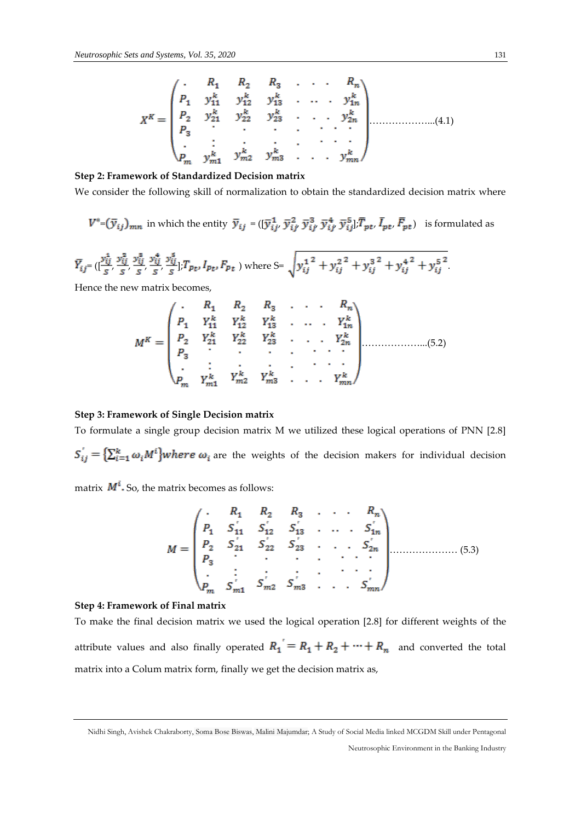………………...(4.1)

# **Step 2: Framework of Standardized Decision matrix**

We consider the following skill of normalization to obtain the standardized decision matrix where

$$
V^* = (\overline{y}_{ij})_{mn}
$$
 in which the entity  $\overline{y}_{ij} = ([\overline{y}_{ij}^1, \overline{y}_{ij'}^2, \overline{y}_{ij'}^3, \overline{y}_{ij'}^4, \overline{y}_{ij}^5], \overline{T}_{pt}, \overline{I}_{pt}, \overline{F}_{pt})$  is formulated as

$$
\bar{Y}_{ij} = \left(\frac{y_{ij}^4}{s}, \frac{y_{ij}^2}{s}, \frac{y_{ij}^8}{s}, \frac{y_{ij}^4}{s}, \frac{y_{ij}^5}{s}\right], T_{Pt}, I_{Pt}, F_{Pt}
$$
 where  $S = \sqrt{y_{ij}^1{}^2 + y_{ij}^2{}^2 + y_{ij}^3{}^2 + y_{ij}^4{}^2 + y_{ij}^5{}^2}$ 

Hence the new matrix becomes,

………………...(5.2)

#### **Step 3: Framework of Single Decision matrix**

To formulate a single group decision matrix M we utilized these logical operations of PNN [2.8]  $S_{ij} = \left\{ \sum_{i=1}^{k} \omega_i M^i \right\}$  where  $\omega_i$  are the weights of the decision makers for individual decision

matrix  $M^i$ . So, the matrix becomes as follows:

$$
M = \begin{pmatrix}\n\cdot & R_1 & R_2 & R_3 & \cdot & \cdot & \cdot & R_n \\
P_1 & S_{11}' & S_{12}' & S_{13}' & \cdot & \cdot & \cdot & S_{1n}' \\
P_2 & S_{21}' & S_{22}' & S_{23}' & \cdot & \cdot & \cdot & S_{2n}' \\
P_3 & \cdot & \cdot & \cdot & \cdot & \cdot & \cdot & \cdot \\
\cdot & \cdot & \cdot & \cdot & \cdot & \cdot & \cdot & \cdot \\
\cdot & \cdot & \cdot & \cdot & \cdot & \cdot & \cdot & \cdot \\
\cdot & \cdot & \cdot & \cdot & \cdot & \cdot & \cdot & \cdot \\
\cdot & \cdot & \cdot & \cdot & \cdot & \cdot & \cdot & \cdot \\
\cdot & \cdot & \cdot & \cdot & \cdot & \cdot & \cdot & \cdot \\
\cdot & \cdot & \cdot & \cdot & \cdot & \cdot & \cdot & \cdot \\
\cdot & \cdot & \cdot & \cdot & \cdot & \cdot & \cdot & \cdot \\
\cdot & \cdot & \cdot & \cdot & \cdot & \cdot & \cdot & \cdot \\
\cdot & \cdot & \cdot & \cdot & \cdot & \cdot & \cdot & \cdot \\
\cdot & \cdot & \cdot & \cdot & \cdot & \cdot & \cdot & \cdot \\
\cdot & \cdot & \cdot & \cdot & \cdot & \cdot & \cdot & \cdot \\
\cdot & \cdot & \cdot & \cdot & \cdot & \cdot & \cdot & \cdot \\
\cdot & \cdot & \cdot & \cdot & \cdot & \cdot & \cdot & \cdot \\
\cdot & \cdot & \cdot & \cdot & \cdot & \cdot & \cdot & \cdot \\
\cdot & \cdot & \cdot & \cdot & \cdot & \cdot & \cdot & \cdot \\
\cdot & \cdot & \cdot & \cdot & \cdot & \cdot & \cdot & \cdot \\
\cdot & \cdot & \cdot & \cdot & \cdot & \cdot & \cdot & \cdot \\
\cdot & \cdot & \cdot & \cdot & \cdot & \cdot & \cdot & \cdot \\
\cdot & \cdot & \cdot & \cdot & \cdot & \cdot & \cdot & \cdot \\
\cdot & \cdot & \cdot & \cdot & \cdot & \cdot & \cdot & \cdot \\
\cdot & \cdot & \cdot & \cdot & \cdot & \cdot & \cdot & \cdot \\
\cdot & \cdot & \cdot & \cdot & \cdot & \cdot & \cdot & \cdot \\
\cdot & \cdot & \cdot & \cdot & \cdot & \cdot & \cdot & \cdot \\
\cdot & \cdot & \cdot & \cdot & \cdot & \cdot & \cdot & \cdot \\
\cdot & \cdot & \cdot & \cdot & \cdot & \cdot & \cdot & \cdot \\
\cdot & \cdot & \cdot & \cdot & \cdot & \cdot & \cdot & \cdot \\
$$

#### **Step 4: Framework of Final matrix**

To make the final decision matrix we used the logical operation [2.8] for different weights of the attribute values and also finally operated  $R_1 = R_1 + R_2 + \cdots + R_n$  and converted the total matrix into a Colum matrix form, finally we get the decision matrix as,

Nidhi Singh, Avishek Chakraborty, Soma Bose Biswas, Malini Majumdar; A Study of Social Media linked MCGDM Skill under Pentagonal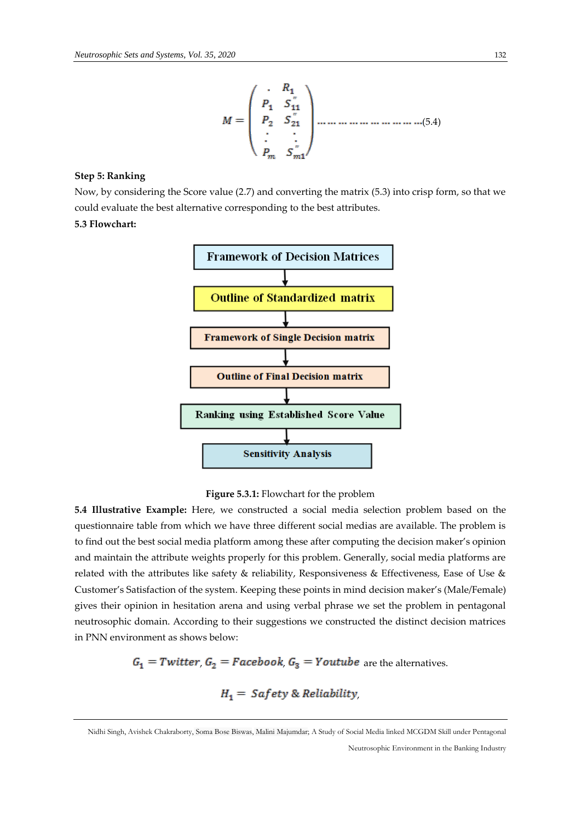(5.4)

#### **Step 5: Ranking**

Now, by considering the Score value (2.7) and converting the matrix (5.3) into crisp form, so that we could evaluate the best alternative corresponding to the best attributes.

# **5.3 Flowchart:**



**Figure 5.3.1:** Flowchart for the problem

**5.4 Illustrative Example:** Here, we constructed a social media selection problem based on the questionnaire table from which we have three different social medias are available. The problem is to find out the best social media platform among these after computing the decision maker's opinion and maintain the attribute weights properly for this problem. Generally, social media platforms are related with the attributes like safety & reliability, Responsiveness & Effectiveness, Ease of Use & Customer's Satisfaction of the system. Keeping these points in mind decision maker's (Male/Female) gives their opinion in hesitation arena and using verbal phrase we set the problem in pentagonal neutrosophic domain. According to their suggestions we constructed the distinct decision matrices in PNN environment as shows below:

 $G_1$  = Twitter,  $G_2$  = Facebook,  $G_3$  = Youtube are the alternatives.

$$
H_1 = Safety & Reliability,
$$

Nidhi Singh, Avishek Chakraborty, Soma Bose Biswas, Malini Majumdar; A Study of Social Media linked MCGDM Skill under Pentagonal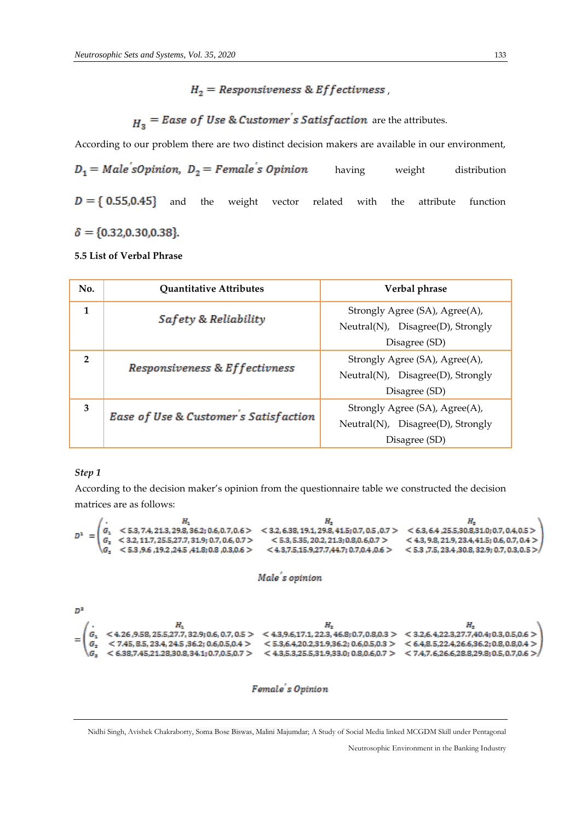# $H_2$  = Responsiveness & Effectivness,

# $H_3$  = Ease of Use & Customer's Satisfaction are the attributes.

According to our problem there are two distinct decision makers are available in our environment,

 $D_1 = Male'sOption, D_2 = Female's Opinion$ having weight distribution  $D = \{ 0.55, 0.45 \}$  and the weight vector related with the attribute function  $\delta = \{0.32, 0.30, 0.38\}.$ 

#### **5.5 List of Verbal Phrase**

| No.          | <b>Quantitative Attributes</b>        | Verbal phrase                     |
|--------------|---------------------------------------|-----------------------------------|
| 1            | Safety & Reliability                  | Strongly Agree (SA), Agree(A),    |
|              |                                       | Neutral(N), Disagree(D), Strongly |
|              |                                       | Disagree (SD)                     |
| $\mathbf{2}$ |                                       | Strongly Agree (SA), Agree(A),    |
|              | Responsiveness & Effectivness         | Neutral(N), Disagree(D), Strongly |
|              |                                       | Disagree (SD)                     |
| 3            |                                       | Strongly Agree (SA), Agree(A),    |
|              | Ease of Use & Customer's Satisfaction | Neutral(N), Disagree(D), Strongly |
|              |                                       | Disagree (SD)                     |

#### *Step 1*

According to the decision maker's opinion from the questionnaire table we constructed the decision matrices are as follows:





Nidhi Singh, Avishek Chakraborty, Soma Bose Biswas, Malini Majumdar; A Study of Social Media linked MCGDM Skill under Pentagonal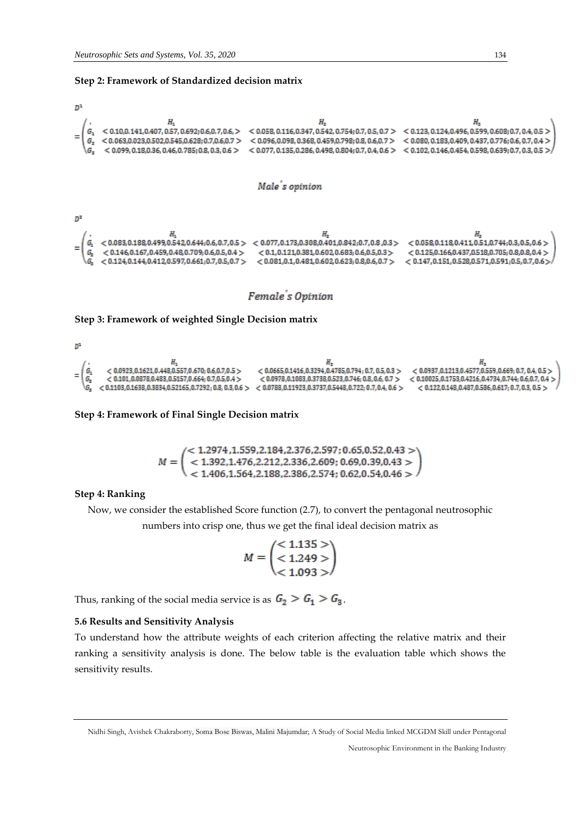#### **Step 2: Framework of Standardized decision matrix**



Female's Opinion

#### **Step 3: Framework of weighted Single Decision matrix**

 $D<sup>2</sup>$ 

| $= 12$ | $< 0.0923, 0.1621, 0.448, 0.557, 0.670; 0.6, 0.7, 0.5 >$<br>$< 0.101, 0.0878, 0.483, 0.5157, 0.664, 0.7, 0.5, 0.4 >$<br>$\backslash G_{\star}$ $< 0.1103, 0.1638, 0.3834, 0.52165, 0.7292, 0.8, 0.3, 0.6 > 0.0788, 0.11923, 0.3737, 0.5448, 0.722, 0.7, 0.4, 0.6 > 0.0788$ | $< 0.0665, 0.1416, 0.3294, 0.4785, 0.794; 0.7, 0.5, 0.3 >$<br>$< 0.0978.0.1083.0.3738.0.523.0.746; 0.8.0.6, 0.7 >$ | $< 0.0937.0.1213.0.4577.0.559.0.669; 0.7, 0.4, 0.5 >$<br>$< 0.10025, 0.1753, 0.4216, 0.4734, 0.744; 0.6, 0.7, 0.4 > 1$<br>$< 0.122, 0.148, 0.487, 0.586, 0.617, 0.7, 0.3, 0.5 >$ |
|--------|----------------------------------------------------------------------------------------------------------------------------------------------------------------------------------------------------------------------------------------------------------------------------|--------------------------------------------------------------------------------------------------------------------|----------------------------------------------------------------------------------------------------------------------------------------------------------------------------------|

**Step 4: Framework of Final Single Decision matrix** 

 $M = \begin{pmatrix} <1.2974\,,\!1.559\,,\!2.184\,,\!2.376\,,\!2.597\,;\!0.65\,,\!0.52\,,\!0.43>\\ <1.392\,,\!1.476\,,\!2.212\,,\!2.336\,,\!2.609\,;\,0.69\,,\!0.39\,,\!0.43>\\ <1.406\,,\!1.564\,,\!2.188\,,\!2.386\,,\!2.574\,;\,0.62\,,\!0.54\,,\!0.46> \end{pmatrix}$ 

#### **Step 4: Ranking**

Now, we consider the established Score function (2.7), to convert the pentagonal neutrosophic

numbers into crisp one, thus we get the final ideal decision matrix as

$$
M = \begin{pmatrix} 4.1135 & > \\ 4.1249 & > \\ 4.1093 & > \end{pmatrix}
$$

Thus, ranking of the social media service is as  $G_2 > G_1 > G_3$ .

#### **5.6 Results and Sensitivity Analysis**

To understand how the attribute weights of each criterion affecting the relative matrix and their ranking a sensitivity analysis is done. The below table is the evaluation table which shows the sensitivity results.

Nidhi Singh, Avishek Chakraborty, Soma Bose Biswas, Malini Majumdar; A Study of Social Media linked MCGDM Skill under Pentagonal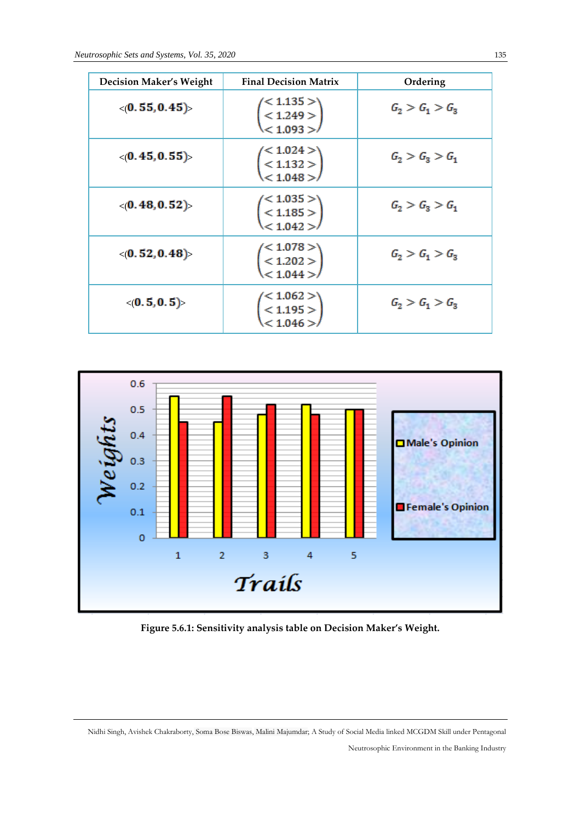| <b>Decision Maker's Weight</b> | <b>Final Decision Matrix</b>                                          | Ordering          |
|--------------------------------|-----------------------------------------------------------------------|-------------------|
| $\langle (0.55, 0.45) \rangle$ | $\begin{pmatrix} 1.135 > \\ 1.249 > \\ 1.093 > \end{pmatrix}$         | $G_2 > G_1 > G_3$ |
| $\langle (0.45, 0.55) \rangle$ | $<$ 1.024 $>$<br>$\begin{pmatrix} 1.132 > 1.048 > 0 \end{pmatrix}$    | $G_2 > G_3 > G_1$ |
| $\langle (0.48, 0.52) \rangle$ | $\leq 1.035 > 0$<br>$\begin{pmatrix} 1.185 > 1.042 > 0 \end{pmatrix}$ | $G_2 > G_3 > G_1$ |
| $\langle (0.52, 0.48) \rangle$ | $\begin{pmatrix} 1.078 > \\ 1.202 > \\ 1.044 > \end{pmatrix}$         | $G_2 > G_1 > G_3$ |
| $\langle (0.5, 0.5) \rangle$   | $<$ 1.062 $>$<br>< 1.195 ><br>< 1.046 >                               | $G_2 > G_1 > G_3$ |



**Figure 5.6.1: Sensitivity analysis table on Decision Maker's Weight.**

Nidhi Singh, Avishek Chakraborty, Soma Bose Biswas, Malini Majumdar; A Study of Social Media linked MCGDM Skill under Pentagonal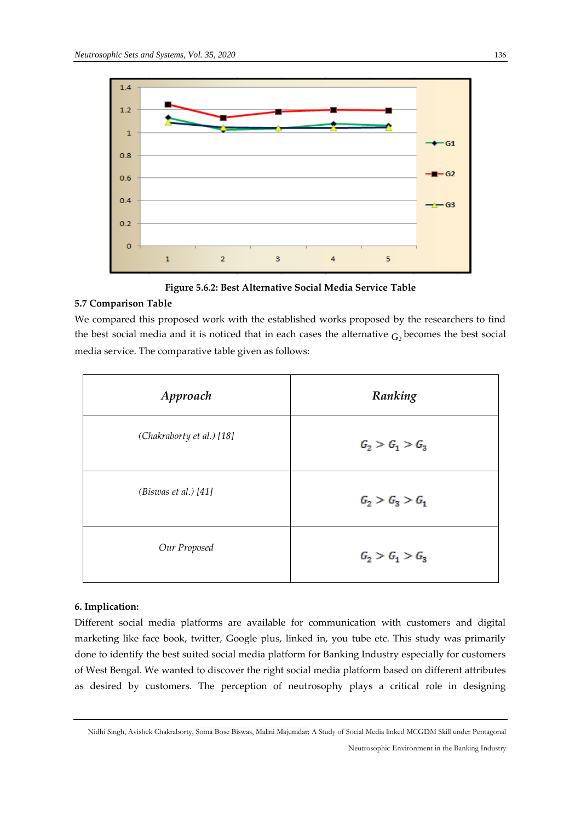

**Figure 5.6.2: Best Alternative Social Media Service Table**

# **5.7 Comparison Table**

We compared this proposed work with the established works proposed by the researchers to find the best social media and it is noticed that in each cases the alternative  $G_2$  becomes the best social media service. The comparative table given as follows:

| Approach                  | Ranking           |
|---------------------------|-------------------|
| (Chakraborty et al.) [18] | $G_2 > G_1 > G_3$ |
| (Bis was et al.) [41]     | $G_2 > G_3 > G_1$ |
| Our Proposed              | $G_2 > G_1 > G_3$ |

#### **6. Implication:**

Different social media platforms are available for communication with customers and digital marketing like face book, twitter, Google plus, linked in, you tube etc. This study was primarily done to identify the best suited social media platform for Banking Industry especially for customers of West Bengal. We wanted to discover the right social media platform based on different attributes as desired by customers. The perception of neutrosophy plays a critical role in designing

Nidhi Singh, Avishek Chakraborty, Soma Bose Biswas, Malini Majumdar; A Study of Social Media linked MCGDM Skill under Pentagonal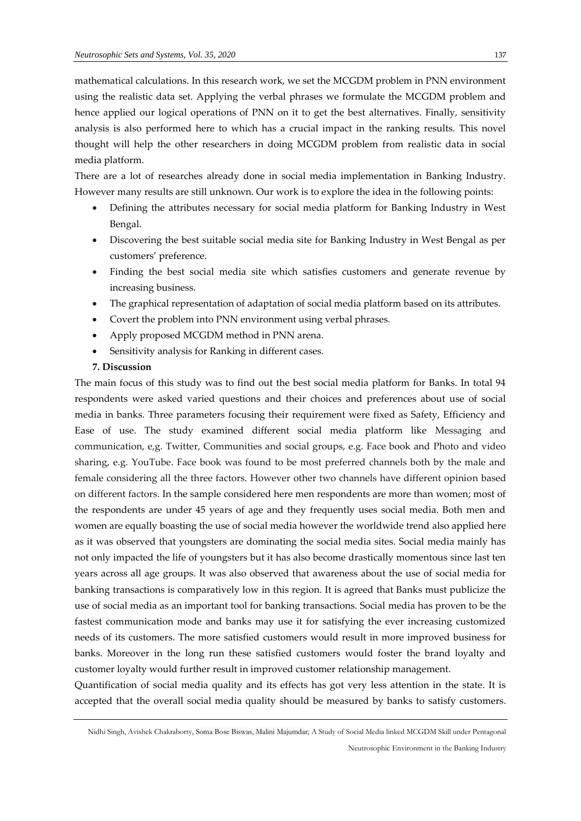mathematical calculations. In this research work, we set the MCGDM problem in PNN environment using the realistic data set. Applying the verbal phrases we formulate the MCGDM problem and hence applied our logical operations of PNN on it to get the best alternatives. Finally, sensitivity analysis is also performed here to which has a crucial impact in the ranking results. This novel thought will help the other researchers in doing MCGDM problem from realistic data in social media platform.

There are a lot of researches already done in social media implementation in Banking Industry. However many results are still unknown. Our work is to explore the idea in the following points:

- Defining the attributes necessary for social media platform for Banking Industry in West Bengal.
- Discovering the best suitable social media site for Banking Industry in West Bengal as per customers' preference.
- Finding the best social media site which satisfies customers and generate revenue by increasing business.
- The graphical representation of adaptation of social media platform based on its attributes.
- Covert the problem into PNN environment using verbal phrases.
- Apply proposed MCGDM method in PNN arena.
- Sensitivity analysis for Ranking in different cases.

#### **7. Discussion**

The main focus of this study was to find out the best social media platform for Banks. In total 94 respondents were asked varied questions and their choices and preferences about use of social media in banks. Three parameters focusing their requirement were fixed as Safety, Efficiency and Ease of use. The study examined different social media platform like Messaging and communication, e,g. Twitter, Communities and social groups, e.g. Face book and Photo and video sharing, e.g. YouTube. Face book was found to be most preferred channels both by the male and female considering all the three factors. However other two channels have different opinion based on different factors. In the sample considered here men respondents are more than women; most of the respondents are under 45 years of age and they frequently uses social media. Both men and women are equally boasting the use of social media however the worldwide trend also applied here as it was observed that youngsters are dominating the social media sites. Social media mainly has not only impacted the life of youngsters but it has also become drastically momentous since last ten years across all age groups. It was also observed that awareness about the use of social media for banking transactions is comparatively low in this region. It is agreed that Banks must publicize the use of social media as an important tool for banking transactions. Social media has proven to be the fastest communication mode and banks may use it for satisfying the ever increasing customized needs of its customers. The more satisfied customers would result in more improved business for banks. Moreover in the long run these satisfied customers would foster the brand loyalty and customer loyalty would further result in improved customer relationship management.

Quantification of social media quality and its effects has got very less attention in the state. It is accepted that the overall social media quality should be measured by banks to satisfy customers.

Nidhi Singh, Avishek Chakraborty, Soma Bose Biswas, Malini Majumdar; A Study of Social Media linked MCGDM Skill under Pentagonal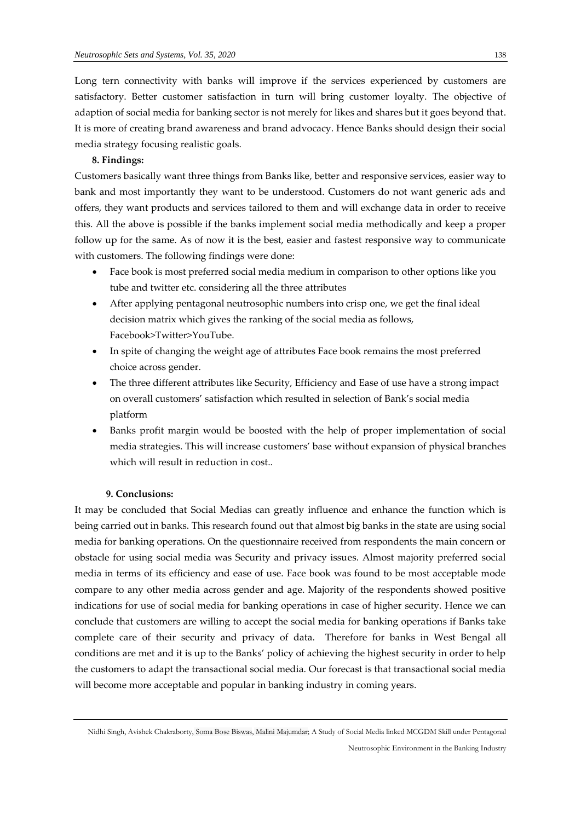Long tern connectivity with banks will improve if the services experienced by customers are satisfactory. Better customer satisfaction in turn will bring customer loyalty. The objective of adaption of social media for banking sector is not merely for likes and shares but it goes beyond that. It is more of creating brand awareness and brand advocacy. Hence Banks should design their social media strategy focusing realistic goals.

#### **8. Findings:**

Customers basically want three things from Banks like, better and responsive services, easier way to bank and most importantly they want to be understood. Customers do not want generic ads and offers, they want products and services tailored to them and will exchange data in order to receive this. All the above is possible if the banks implement social media methodically and keep a proper follow up for the same. As of now it is the best, easier and fastest responsive way to communicate with customers. The following findings were done:

- Face book is most preferred social media medium in comparison to other options like you tube and twitter etc. considering all the three attributes
- After applying pentagonal neutrosophic numbers into crisp one, we get the final ideal decision matrix which gives the ranking of the social media as follows, Facebook>Twitter>YouTube.
- In spite of changing the weight age of attributes Face book remains the most preferred choice across gender.
- The three different attributes like Security, Efficiency and Ease of use have a strong impact on overall customers' satisfaction which resulted in selection of Bank's social media platform
- Banks profit margin would be boosted with the help of proper implementation of social media strategies. This will increase customers' base without expansion of physical branches which will result in reduction in cost..

#### **9. Conclusions:**

It may be concluded that Social Medias can greatly influence and enhance the function which is being carried out in banks. This research found out that almost big banks in the state are using social media for banking operations. On the questionnaire received from respondents the main concern or obstacle for using social media was Security and privacy issues. Almost majority preferred social media in terms of its efficiency and ease of use. Face book was found to be most acceptable mode compare to any other media across gender and age. Majority of the respondents showed positive indications for use of social media for banking operations in case of higher security. Hence we can conclude that customers are willing to accept the social media for banking operations if Banks take complete care of their security and privacy of data. Therefore for banks in West Bengal all conditions are met and it is up to the Banks' policy of achieving the highest security in order to help the customers to adapt the transactional social media. Our forecast is that transactional social media will become more acceptable and popular in banking industry in coming years.

Nidhi Singh, Avishek Chakraborty, Soma Bose Biswas, Malini Majumdar; A Study of Social Media linked MCGDM Skill under Pentagonal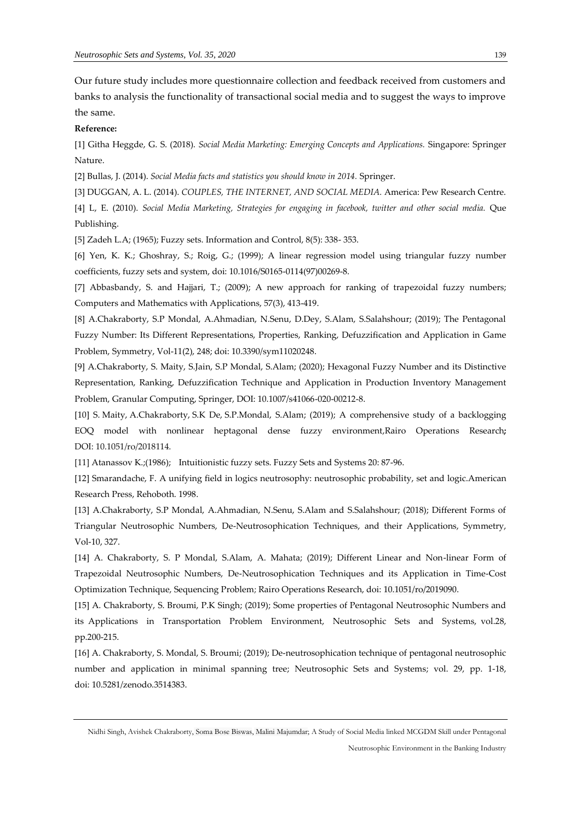Our future study includes more questionnaire collection and feedback received from customers and banks to analysis the functionality of transactional social media and to suggest the ways to improve the same.

#### **Reference:**

[1] Githa Heggde, G. S. (2018). *Social Media Marketing: Emerging Concepts and Applications.* Singapore: Springer Nature.

[2] Bullas, J. (2014). *Social Media facts and statistics you should know in 2014.* Springer.

[3] DUGGAN, A. L. (2014). *COUPLES, THE INTERNET, AND SOCIAL MEDIA.* America: Pew Research Centre. [4] L, E. (2010). *Social Media Marketing, Strategies for engaging in facebook, twitter and other social media.* Que Publishing.

[5] Zadeh L.A; (1965); Fuzzy sets. Information and Control, 8(5): 338- 353.

[6] Yen, K. K.; Ghoshray, S.; Roig, G.; (1999); A linear regression model using triangular fuzzy number coefficients, fuzzy sets and system, doi: 10.1016/S0165-0114(97)00269-8.

[7] Abbasbandy, S. and Hajjari, T.; (2009); A new approach for ranking of trapezoidal fuzzy numbers; Computers and Mathematics with Applications, 57(3), 413-419.

[8] A.Chakraborty, S.P Mondal, A.Ahmadian, N.Senu, D.Dey, S.Alam, S.Salahshour; (2019); The Pentagonal Fuzzy Number: Its Different Representations, Properties, Ranking, Defuzzification and Application in Game Problem, Symmetry, Vol-11(2), 248; doi: 10.3390/sym11020248.

[9] A.Chakraborty, S. Maity, S.Jain, S.P Mondal, S.Alam; (2020); Hexagonal Fuzzy Number and its Distinctive Representation, Ranking, Defuzzification Technique and Application in Production Inventory Management Problem, Granular Computing, Springer, DOI: 10.1007/s41066-020-00212-8.

[10] S. Maity, A.Chakraborty, S.K De, S.P.Mondal, S.Alam; (2019); A comprehensive study of a backlogging EOQ model with nonlinear heptagonal dense fuzzy environment,Rairo Operations Research**;** DOI: 10.1051/ro/2018114.

[11] Atanassov K.;(1986); Intuitionistic fuzzy sets. Fuzzy Sets and Systems 20: 87-96.

[12] Smarandache, F. A unifying field in logics neutrosophy: neutrosophic probability, set and logic.American Research Press, Rehoboth. 1998.

[13] A.Chakraborty, S.P Mondal, A.Ahmadian, N.Senu, S.Alam and S.Salahshour; (2018); Different Forms of Triangular Neutrosophic Numbers, De-Neutrosophication Techniques, and their Applications, Symmetry, Vol-10, 327.

[14] A. Chakraborty, S. P Mondal, S.Alam, A. Mahata; (2019); Different Linear and Non-linear Form of Trapezoidal Neutrosophic Numbers, De-Neutrosophication Techniques and its Application in Time-Cost Optimization Technique, Sequencing Problem; Rairo Operations Research, doi: 10.1051/ro/2019090.

[15] A. Chakraborty, S. Broumi, P.K Singh; (2019); Some properties of Pentagonal Neutrosophic Numbers and its Applications in Transportation Problem Environment, Neutrosophic Sets and Systems, vol.28, pp.200-215.

[16] A. Chakraborty, S. Mondal, S. Broumi; (2019); De-neutrosophication technique of pentagonal neutrosophic number and application in minimal spanning tree; Neutrosophic Sets and Systems; vol. 29, pp. 1-18, doi: [10.5281/zenodo.3514383.](https://zenodo.org/record/3514383#.XazK3ugzbIU)

Nidhi Singh, Avishek Chakraborty, Soma Bose Biswas, Malini Majumdar; A Study of Social Media linked MCGDM Skill under Pentagonal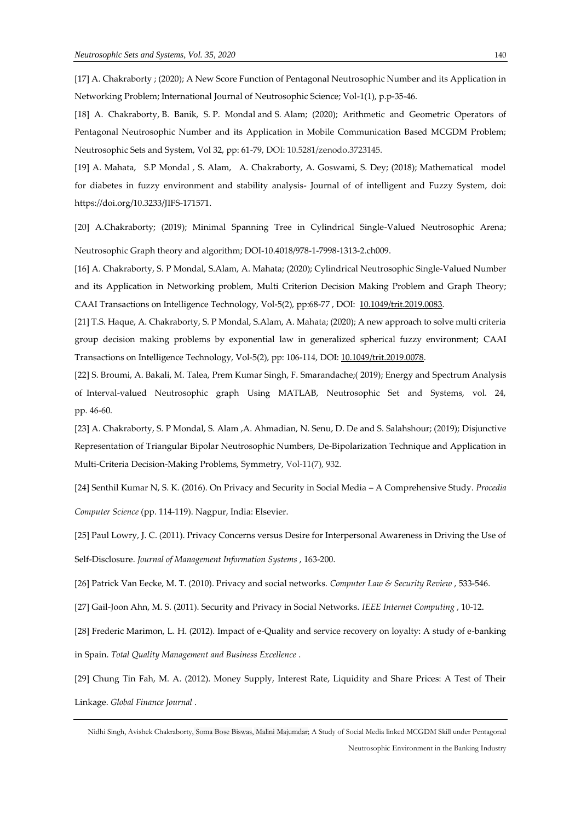[17] A. Chakraborty ; (2020); A New Score Function of Pentagonal Neutrosophic Number and its Application in Networking Problem; International Journal of Neutrosophic Science; Vol-1(1), p.p-35-46.

[18] A. Chakraborty, B. Banik, S. P. Mondal and S. Alam; (2020); Arithmetic and Geometric Operators of Pentagonal Neutrosophic Number and its Application in Mobile Communication Based MCGDM Problem; Neutrosophic Sets and System, Vol 32, pp: 61-79, DOI: 10.5281/zenodo.3723145.

[19] A. Mahata, S.P Mondal , S. Alam, A. Chakraborty, A. Goswami, S. Dey; (2018); Mathematical model for diabetes in fuzzy environment and stability analysis- Journal of of intelligent and Fuzzy System, doi: https://doi.org/10.3233/JIFS-171571.

[20] A.Chakraborty; (2019); Minimal Spanning Tree in Cylindrical Single-Valued Neutrosophic Arena; Neutrosophic Graph theory and algorithm; DOI-10.4018/978-1-7998-1313-2.ch009.

[16] A. Chakraborty, S. P Mondal, S.Alam, A. Mahata; (2020); Cylindrical Neutrosophic Single-Valued Number and its Application in Networking problem, Multi Criterion Decision Making Problem and Graph Theory; CAAI Transactions on Intelligence Technology, Vol-5(2), pp:68-77 , DOI: [10.1049/trit.2019.0083.](https://doi.org/10.1049/trit.2019.0083)

[21] T.S. Haque, A. Chakraborty, S. P Mondal, S.Alam, A. Mahata; (2020); A new approach to solve multi criteria group decision making problems by exponential law in generalized spherical fuzzy environment; CAAI Transactions on Intelligence Technology, Vol-5(2), pp: 106-114, DOI: [10.1049/trit.2019.0078.](https://doi.org/10.1049/trit.2019.0078)

[22] S. Broumi, A. Bakali, M. Talea, Prem Kumar Singh, F. Smarandache;( 2019); Energy and Spectrum Analysis of Interval-valued Neutrosophic graph Using MATLAB, Neutrosophic Set and Systems, vol. 24, pp. 46-60.

[23] A. Chakraborty, S. P Mondal, S. Alam ,A. Ahmadian, N. Senu, D. De and S. Salahshour; (2019); Disjunctive Representation of Triangular Bipolar Neutrosophic Numbers, De-Bipolarization Technique and Application in Multi-Criteria Decision-Making Problems, Symmetry, Vol-11(7), 932.

[24] Senthil Kumar N, S. K. (2016). On Privacy and Security in Social Media – A Comprehensive Study. *Procedia* 

*Computer Science* (pp. 114-119). Nagpur, India: Elsevier.

[25] Paul Lowry, J. C. (2011). Privacy Concerns versus Desire for Interpersonal Awareness in Driving the Use of

Self-Disclosure. *Journal of Management Information Systems* , 163-200.

[26] Patrick Van Eecke, M. T. (2010). Privacy and social networks. *Computer Law & Security Review* , 533-546.

[27] Gail-Joon Ahn, M. S. (2011). Security and Privacy in Social Networks. *IEEE Internet Computing* , 10-12.

[28] Frederic Marimon, L. H. (2012). Impact of e-Quality and service recovery on loyalty: A study of e-banking in Spain. *Total Quality Management and Business Excellence* .

[29] Chung Tin Fah, M. A. (2012). Money Supply, Interest Rate, Liquidity and Share Prices: A Test of Their Linkage. *Global Finance Journal* .

Nidhi Singh, Avishek Chakraborty, Soma Bose Biswas, Malini Majumdar; A Study of Social Media linked MCGDM Skill under Pentagonal